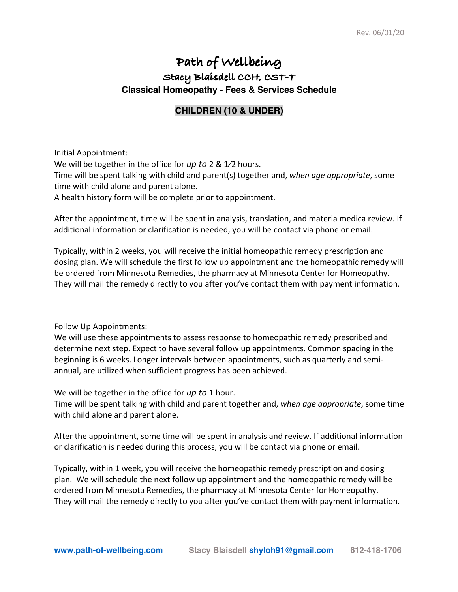## **Path of Wellbeing Stacy Blaisdell CCH, CST-T Classical Homeopathy - Fees & Services Schedule**

## **CHILDREN (10 & UNDER)**

## Initial Appointment:

We will be together in the office for *up to* 2 & 1⁄2 hours. Time will be spent talking with child and parent(s) together and, *when age appropriate*, some time with child alone and parent alone. A health history form will be complete prior to appointment.

After the appointment, time will be spent in analysis, translation, and materia medica review. If additional information or clarification is needed, you will be contact via phone or email.

Typically, within 2 weeks, you will receive the initial homeopathic remedy prescription and dosing plan. We will schedule the first follow up appointment and the homeopathic remedy will be ordered from Minnesota Remedies, the pharmacy at Minnesota Center for Homeopathy. They will mail the remedy directly to you after you've contact them with payment information.

## Follow Up Appointments:

We will use these appointments to assess response to homeopathic remedy prescribed and determine next step. Expect to have several follow up appointments. Common spacing in the beginning is 6 weeks. Longer intervals between appointments, such as quarterly and semiannual, are utilized when sufficient progress has been achieved.

We will be together in the office for *up to* 1 hour.

Time will be spent talking with child and parent together and, *when age appropriate*, some time with child alone and parent alone.

After the appointment, some time will be spent in analysis and review. If additional information or clarification is needed during this process, you will be contact via phone or email.

Typically, within 1 week, you will receive the homeopathic remedy prescription and dosing plan. We will schedule the next follow up appointment and the homeopathic remedy will be ordered from Minnesota Remedies, the pharmacy at Minnesota Center for Homeopathy. They will mail the remedy directly to you after you've contact them with payment information.